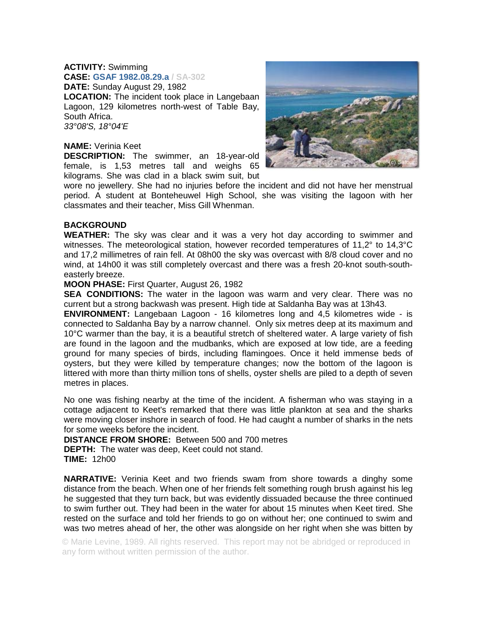## **ACTIVITY:** Swimming

**CASE: GSAF 1982.08.29.a / SA-302 DATE:** Sunday August 29, 1982 **LOCATION:** The incident took place in Langebaan Lagoon, 129 kilometres north-west of Table Bay, South Africa. *33°08'S, 18°04'E* 

## **NAME:** Verinia Keet

**DESCRIPTION:** The swimmer, an 18-year-old female, is 1,53 metres tall and weighs 65 kilograms. She was clad in a black swim suit, but



wore no jewellery. She had no injuries before the incident and did not have her menstrual period. A student at Bonteheuwel High School, she was visiting the lagoon with her classmates and their teacher, Miss Gill Whenman.

## **BACKGROUND**

**WEATHER:** The sky was clear and it was a very hot day according to swimmer and witnesses. The meteorological station, however recorded temperatures of 11,2° to 14,3°C and 17,2 millimetres of rain fell. At 08h00 the sky was overcast with 8/8 cloud cover and no wind, at 14h00 it was still completely overcast and there was a fresh 20-knot south-southeasterly breeze.

## **MOON PHASE:** First Quarter, August 26, 1982

**SEA CONDITIONS:** The water in the lagoon was warm and very clear. There was no current but a strong backwash was present. High tide at Saldanha Bay was at 13h43.

**ENVIRONMENT:** Langebaan Lagoon - 16 kilometres long and 4,5 kilometres wide - is connected to Saldanha Bay by a narrow channel. Only six metres deep at its maximum and 10°C warmer than the bay, it is a beautiful stretch of sheltered water. A large variety of fish are found in the lagoon and the mudbanks, which are exposed at low tide, are a feeding ground for many species of birds, including flamingoes. Once it held immense beds of oysters, but they were killed by temperature changes; now the bottom of the lagoon is littered with more than thirty million tons of shells, oyster shells are piled to a depth of seven metres in places.

No one was fishing nearby at the time of the incident. A fisherman who was staying in a cottage adjacent to Keet's remarked that there was little plankton at sea and the sharks were moving closer inshore in search of food. He had caught a number of sharks in the nets for some weeks before the incident.

**DISTANCE FROM SHORE:** Between 500 and 700 metres

**DEPTH:** The water was deep, Keet could not stand. **TIME:** 12h00

**NARRATIVE:** Verinia Keet and two friends swam from shore towards a dinghy some distance from the beach. When one of her friends felt something rough brush against his leg he suggested that they turn back, but was evidently dissuaded because the three continued to swim further out. They had been in the water for about 15 minutes when Keet tired. She rested on the surface and told her friends to go on without her; one continued to swim and was two metres ahead of her, the other was alongside on her right when she was bitten by

© Marie Levine, 1989. All rights reserved. This report may not be abridged or reproduced in any form without written permission of the author.